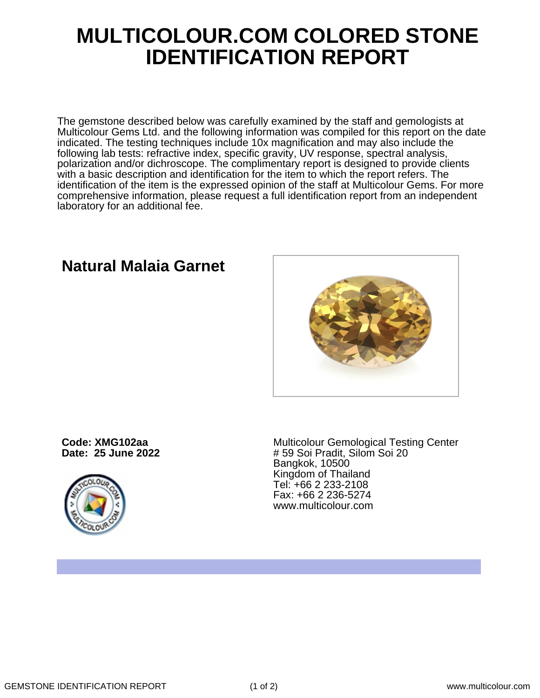## **MULTICOLOUR.COM COLORED STONE IDENTIFICATION REPORT**

The gemstone described below was carefully examined by the staff and gemologists at Multicolour Gems Ltd. and the following information was compiled for this report on the date indicated. The testing techniques include 10x magnification and may also include the following lab tests: refractive index, specific gravity, UV response, spectral analysis, polarization and/or dichroscope. The complimentary report is designed to provide clients with a basic description and identification for the item to which the report refers. The identification of the item is the expressed opinion of the staff at Multicolour Gems. For more comprehensive information, please request a full identification report from an independent laboratory for an additional fee.

## **Natural Malaia Garnet**

**Code: XMG102aa Date: 25 June 2022**



Multicolour Gemological Testing Center # 59 Soi Pradit, Silom Soi 20 Bangkok, 10500 Kingdom of Thailand Tel: +66 2 233-2108 Fax: +66 2 236-5274 www.multicolour.com